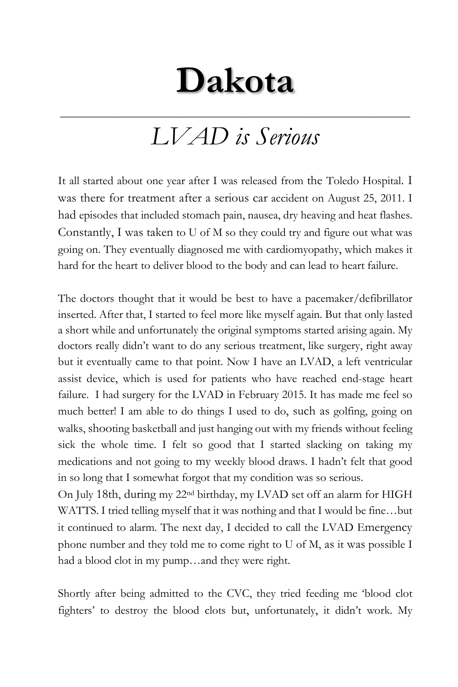## **Dakota**

## *LVAD is Serious*

\_\_\_\_\_\_\_\_\_\_\_\_\_\_\_\_\_\_\_\_\_\_\_\_\_\_\_\_\_\_\_\_\_\_\_\_\_\_\_\_\_\_\_\_\_\_\_\_\_\_\_\_\_\_\_\_\_\_\_\_

It all started about one year after I was released from the Toledo Hospital. I was there for treatment after a serious car accident on August 25, 2011. I had episodes that included stomach pain, nausea, dry heaving and heat flashes. Constantly, I was taken to U of M so they could try and figure out what was going on. They eventually diagnosed me with cardiomyopathy, which makes it hard for the heart to deliver blood to the body and can lead to heart failure.

The doctors thought that it would be best to have a pacemaker/defibrillator inserted. After that, I started to feel more like myself again. But that only lasted a short while and unfortunately the original symptoms started arising again. My doctors really didn't want to do any serious treatment, like surgery, right away but it eventually came to that point. Now I have an LVAD, a left ventricular assist device, which is used for patients who have reached end-stage heart failure. I had surgery for the LVAD in February 2015. It has made me feel so much better! I am able to do things I used to do, such as golfing, going on walks, shooting basketball and just hanging out with my friends without feeling sick the whole time. I felt so good that I started slacking on taking my medications and not going to my weekly blood draws. I hadn't felt that good in so long that I somewhat forgot that my condition was so serious.

On July 18th, during my 22nd birthday, my LVAD set off an alarm for HIGH WATTS. I tried telling myself that it was nothing and that I would be fine…but it continued to alarm. The next day, I decided to call the LVAD Emergency phone number and they told me to come right to U of M, as it was possible I had a blood clot in my pump…and they were right.

Shortly after being admitted to the CVC, they tried feeding me 'blood clot fighters' to destroy the blood clots but, unfortunately, it didn't work. My